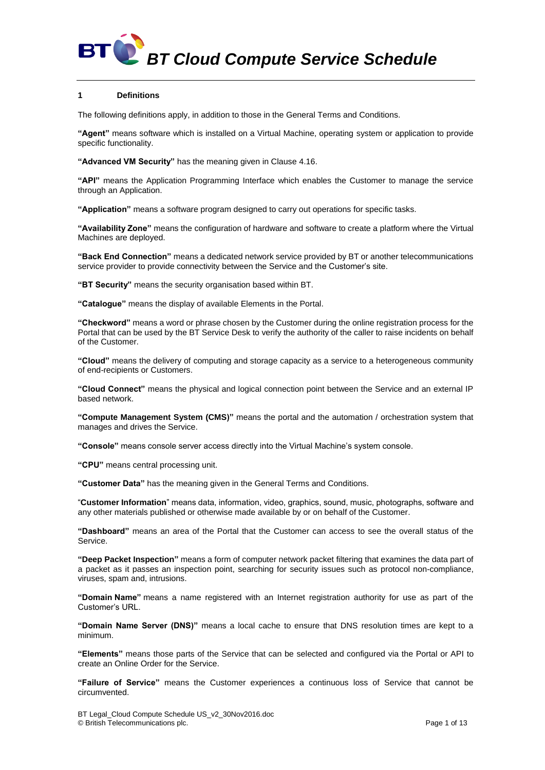## **1 Definitions**

The following definitions apply, in addition to those in the General Terms and Conditions.

**"Agent"** means software which is installed on a Virtual Machine, operating system or application to provide specific functionality.

**"Advanced VM Security"** has the meaning given in Claus[e 4.16.](#page-5-0)

**"API"** means the Application Programming Interface which enables the Customer to manage the service through an Application.

**"Application"** means a software program designed to carry out operations for specific tasks.

**"Availability Zone"** means the configuration of hardware and software to create a platform where the Virtual Machines are deployed.

**"Back End Connection"** means a dedicated network service provided by BT or another telecommunications service provider to provide connectivity between the Service and the Customer's site.

**"BT Security"** means the security organisation based within BT.

**"Catalogue"** means the display of available Elements in the Portal.

**"Checkword"** means a word or phrase chosen by the Customer during the online registration process for the Portal that can be used by the BT Service Desk to verify the authority of the caller to raise incidents on behalf of the Customer.

**"Cloud"** means the delivery of computing and storage capacity as a service to a heterogeneous community of end-recipients or Customers.

**"Cloud Connect"** means the physical and logical connection point between the Service and an external IP based network.

**"Compute Management System (CMS)"** means the portal and the automation / orchestration system that manages and drives the Service.

**"Console"** means console server access directly into the Virtual Machine's system console.

**"CPU"** means central processing unit.

**"Customer Data"** has the meaning given in the General Terms and Conditions.

"**Customer Information**" means data, information, video, graphics, sound, music, photographs, software and any other materials published or otherwise made available by or on behalf of the Customer.

**"Dashboard"** means an area of the Portal that the Customer can access to see the overall status of the Service.

**"Deep Packet Inspection"** means a form of computer network packet filtering that examines the data part of a packet as it passes an inspection point, searching for security issues such as protocol non-compliance, viruses, spam and, intrusions.

**"Domain Name"** means a name registered with an Internet registration authority for use as part of the Customer's URL.

**"Domain Name Server (DNS)"** means a local cache to ensure that DNS resolution times are kept to a minimum.

**"Elements"** means those parts of the Service that can be selected and configured via the Portal or API to create an Online Order for the Service.

**"Failure of Service"** means the Customer experiences a continuous loss of Service that cannot be circumvented.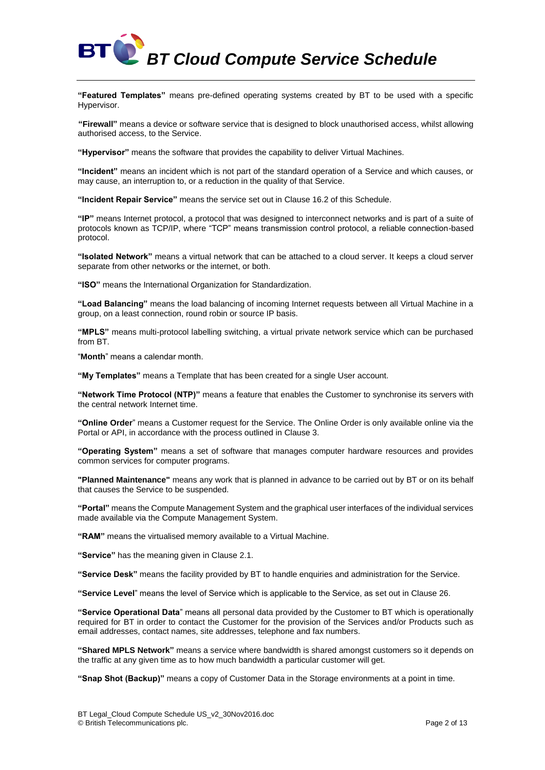

**"Featured Templates"** means pre-defined operating systems created by BT to be used with a specific Hypervisor.

**"Firewall"** means a device or software service that is designed to block unauthorised access, whilst allowing authorised access, to the Service.

**"Hypervisor"** means the software that provides the capability to deliver Virtual Machines.

**"Incident"** means an incident which is not part of the standard operation of a Service and which causes, or may cause, an interruption to, or a reduction in the quality of that Service.

**"Incident Repair Service"** means the service set out in Clause [16.2](#page-7-0) of this Schedule.

**"IP"** means Internet protocol, a protocol that was designed to interconnect networks and is part of a suite of protocols known as TCP/IP, where "TCP" means transmission control protocol, a reliable connection-based protocol.

**"Isolated Network"** means a virtual network that can be attached to a cloud server. It keeps a cloud server separate from other networks or the internet, or both.

**"ISO"** means the International Organization for Standardization.

**"Load Balancing"** means the load balancing of incoming Internet requests between all Virtual Machine in a group, on a least connection, round robin or source IP basis.

**"MPLS"** means multi-protocol labelling switching, a virtual private network service which can be purchased from BT.

"**Month**" means a calendar month.

**"My Templates"** means a Template that has been created for a single User account.

**"Network Time Protocol (NTP)"** means a feature that enables the Customer to synchronise its servers with the central network Internet time.

**"Online Order**" means a Customer request for the Service. The Online Order is only available online via the Portal or API, in accordance with the process outlined in Clause [3.](#page-2-0)

**"Operating System"** means a set of software that manages computer hardware resources and provides common services for computer programs.

**"Planned Maintenance"** means any work that is planned in advance to be carried out by BT or on its behalf that causes the Service to be suspended.

**"Portal"** means the Compute Management System and the graphical user interfaces of the individual services made available via the Compute Management System.

**"RAM"** means the virtualised memory available to a Virtual Machine.

**"Service"** has the meaning given in Claus[e 2.1.](#page-2-1)

**"Service Desk"** means the facility provided by BT to handle enquiries and administration for the Service.

**"Service Level**" means the level of Service which is applicable to the Service, as set out in Clause [26.](#page-11-0)

**"Service Operational Data**" means all personal data provided by the Customer to BT which is operationally required for BT in order to contact the Customer for the provision of the Services and/or Products such as email addresses, contact names, site addresses, telephone and fax numbers.

**"Shared MPLS Network"** means a service where bandwidth is shared amongst customers so it depends on the traffic at any given time as to how much bandwidth a particular customer will get.

**"Snap Shot (Backup)"** means a copy of Customer Data in the Storage environments at a point in time.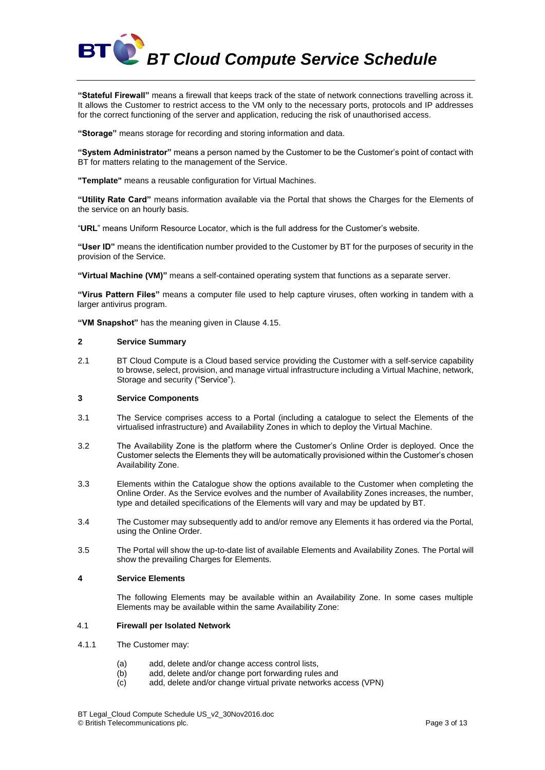

**"Stateful Firewall"** means a firewall that keeps track of the state of network connections travelling across it. It allows the Customer to restrict access to the VM only to the necessary ports, protocols and IP addresses for the correct functioning of the server and application, reducing the risk of unauthorised access.

**"Storage"** means storage for recording and storing information and data.

**"System Administrator"** means a person named by the Customer to be the Customer's point of contact with BT for matters relating to the management of the Service.

**"Template"** means a reusable configuration for Virtual Machines.

**"Utility Rate Card"** means information available via the Portal that shows the Charges for the Elements of the service on an hourly basis.

"**URL**" means Uniform Resource Locator, which is the full address for the Customer's website.

**"User ID"** means the identification number provided to the Customer by BT for the purposes of security in the provision of the Service.

**"Virtual Machine (VM)"** means a self-contained operating system that functions as a separate server.

**"Virus Pattern Files"** means a computer file used to help capture viruses, often working in tandem with a larger antivirus program.

**"VM Snapshot"** has the meaning given in Clause [4.15.](#page-5-1)

#### **2 Service Summary**

<span id="page-2-1"></span>2.1 BT Cloud Compute is a Cloud based service providing the Customer with a self-service capability to browse, select, provision, and manage virtual infrastructure including a Virtual Machine, network, Storage and security ("Service").

## <span id="page-2-0"></span>**3 Service Components**

- 3.1 The Service comprises access to a Portal (including a catalogue to select the Elements of the virtualised infrastructure) and Availability Zones in which to deploy the Virtual Machine.
- 3.2 The Availability Zone is the platform where the Customer's Online Order is deployed. Once the Customer selects the Elements they will be automatically provisioned within the Customer's chosen Availability Zone.
- 3.3 Elements within the Catalogue show the options available to the Customer when completing the Online Order. As the Service evolves and the number of Availability Zones increases, the number, type and detailed specifications of the Elements will vary and may be updated by BT.
- 3.4 The Customer may subsequently add to and/or remove any Elements it has ordered via the Portal, using the Online Order.
- 3.5 The Portal will show the up-to-date list of available Elements and Availability Zones. The Portal will show the prevailing Charges for Elements.

#### **4 Service Elements**

The following Elements may be available within an Availability Zone. In some cases multiple Elements may be available within the same Availability Zone:

#### 4.1 **Firewall per Isolated Network**

- 4.1.1 The Customer may:
	- (a) add, delete and/or change access control lists,
	- (b) add, delete and/or change port forwarding rules and
	- (c) add, delete and/or change virtual private networks access (VPN)

BT Legal\_Cloud Compute Schedule US\_v2\_30Nov2016.doc © British Telecommunications plc. Page 3 of 13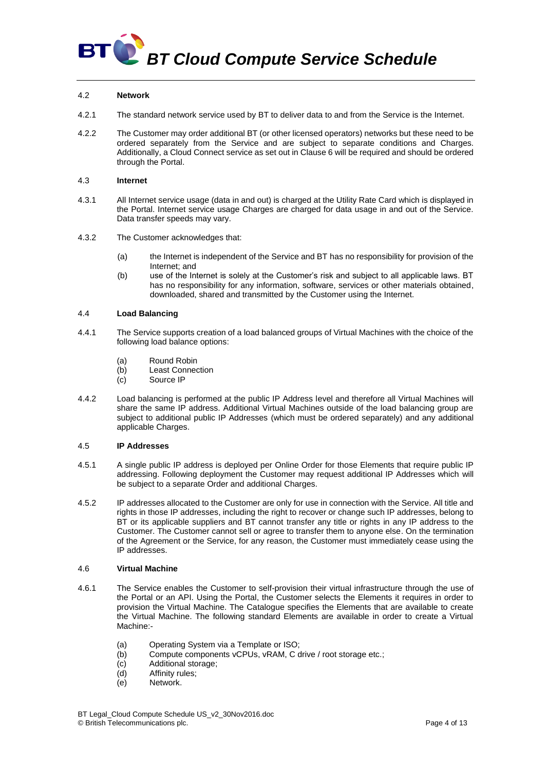

## 4.2 **Network**

- 4.2.1 The standard network service used by BT to deliver data to and from the Service is the Internet.
- 4.2.2 The Customer may order additional BT (or other licensed operators) networks but these need to be ordered separately from the Service and are subject to separate conditions and Charges. Additionally, a Cloud Connect service as set out in Claus[e 6](#page-6-0) will be required and should be ordered through the Portal.

#### 4.3 **Internet**

- 4.3.1 All Internet service usage (data in and out) is charged at the Utility Rate Card which is displayed in the Portal. Internet service usage Charges are charged for data usage in and out of the Service. Data transfer speeds may vary.
- 4.3.2 The Customer acknowledges that:
	- (a) the Internet is independent of the Service and BT has no responsibility for provision of the Internet; and
	- (b) use of the Internet is solely at the Customer's risk and subject to all applicable laws. BT has no responsibility for any information, software, services or other materials obtained, downloaded, shared and transmitted by the Customer using the Internet.

## 4.4 **Load Balancing**

- 4.4.1 The Service supports creation of a load balanced groups of Virtual Machines with the choice of the following load balance options:
	- (a) Round Robin
	- (b) Least Connection
	- (c) Source IP
- 4.4.2 Load balancing is performed at the public IP Address level and therefore all Virtual Machines will share the same IP address. Additional Virtual Machines outside of the load balancing group are subject to additional public IP Addresses (which must be ordered separately) and any additional applicable Charges.

## 4.5 **IP Addresses**

- 4.5.1 A single public IP address is deployed per Online Order for those Elements that require public IP addressing. Following deployment the Customer may request additional IP Addresses which will be subject to a separate Order and additional Charges.
- 4.5.2 IP addresses allocated to the Customer are only for use in connection with the Service. All title and rights in those IP addresses, including the right to recover or change such IP addresses, belong to BT or its applicable suppliers and BT cannot transfer any title or rights in any IP address to the Customer. The Customer cannot sell or agree to transfer them to anyone else. On the termination of the Agreement or the Service, for any reason, the Customer must immediately cease using the IP addresses.

## 4.6 **Virtual Machine**

- 4.6.1 The Service enables the Customer to self-provision their virtual infrastructure through the use of the Portal or an API. Using the Portal, the Customer selects the Elements it requires in order to provision the Virtual Machine. The Catalogue specifies the Elements that are available to create the Virtual Machine. The following standard Elements are available in order to create a Virtual Machine:-
	- (a) Operating System via a Template or ISO;
	- (b) Compute components vCPUs, vRAM, C drive / root storage etc.;
	- (c) Additional storage;
	- (d) Affinity rules;
	- (e) Network.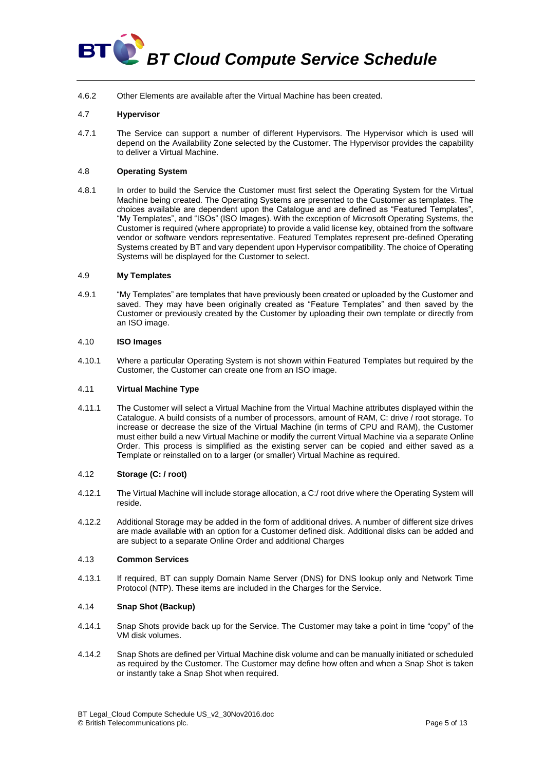

4.6.2 Other Elements are available after the Virtual Machine has been created.

## 4.7 **Hypervisor**

4.7.1 The Service can support a number of different Hypervisors. The Hypervisor which is used will depend on the Availability Zone selected by the Customer. The Hypervisor provides the capability to deliver a Virtual Machine.

## 4.8 **Operating System**

4.8.1 In order to build the Service the Customer must first select the Operating System for the Virtual Machine being created. The Operating Systems are presented to the Customer as templates. The choices available are dependent upon the Catalogue and are defined as "Featured Templates", "My Templates", and "ISOs" (ISO Images). With the exception of Microsoft Operating Systems, the Customer is required (where appropriate) to provide a valid license key, obtained from the software vendor or software vendors representative. Featured Templates represent pre-defined Operating Systems created by BT and vary dependent upon Hypervisor compatibility. The choice of Operating Systems will be displayed for the Customer to select.

## 4.9 **My Templates**

4.9.1 "My Templates" are templates that have previously been created or uploaded by the Customer and saved. They may have been originally created as "Feature Templates" and then saved by the Customer or previously created by the Customer by uploading their own template or directly from an ISO image.

## 4.10 **ISO Images**

4.10.1 Where a particular Operating System is not shown within Featured Templates but required by the Customer, the Customer can create one from an ISO image.

## 4.11 **Virtual Machine Type**

4.11.1 The Customer will select a Virtual Machine from the Virtual Machine attributes displayed within the Catalogue. A build consists of a number of processors, amount of RAM, C: drive / root storage. To increase or decrease the size of the Virtual Machine (in terms of CPU and RAM), the Customer must either build a new Virtual Machine or modify the current Virtual Machine via a separate Online Order. This process is simplified as the existing server can be copied and either saved as a Template or reinstalled on to a larger (or smaller) Virtual Machine as required.

## 4.12 **Storage (C: / root)**

- 4.12.1 The Virtual Machine will include storage allocation, a C:/ root drive where the Operating System will reside.
- 4.12.2 Additional Storage may be added in the form of additional drives. A number of different size drives are made available with an option for a Customer defined disk. Additional disks can be added and are subject to a separate Online Order and additional Charges

## 4.13 **Common Services**

4.13.1 If required, BT can supply Domain Name Server (DNS) for DNS lookup only and Network Time Protocol (NTP). These items are included in the Charges for the Service.

## 4.14 **Snap Shot (Backup)**

- 4.14.1 Snap Shots provide back up for the Service. The Customer may take a point in time "copy" of the VM disk volumes.
- 4.14.2 Snap Shots are defined per Virtual Machine disk volume and can be manually initiated or scheduled as required by the Customer. The Customer may define how often and when a Snap Shot is taken or instantly take a Snap Shot when required.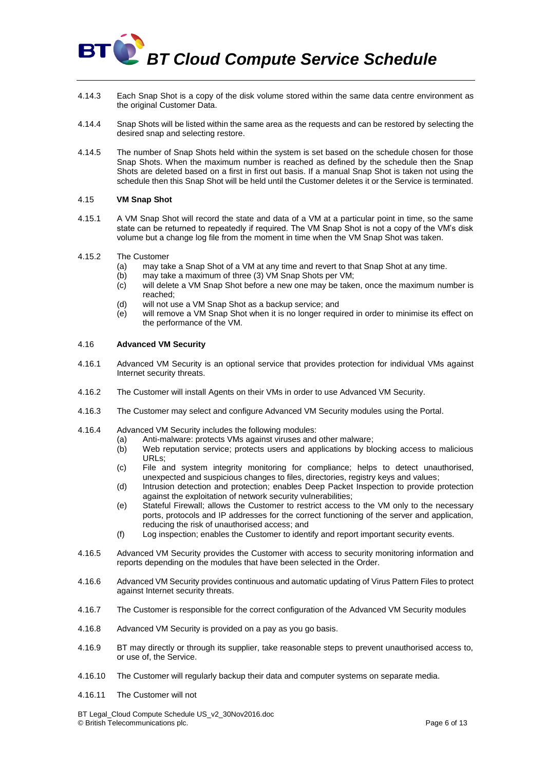- 4.14.3 Each Snap Shot is a copy of the disk volume stored within the same data centre environment as the original Customer Data.
- 4.14.4 Snap Shots will be listed within the same area as the requests and can be restored by selecting the desired snap and selecting restore.
- 4.14.5 The number of Snap Shots held within the system is set based on the schedule chosen for those Snap Shots. When the maximum number is reached as defined by the schedule then the Snap Shots are deleted based on a first in first out basis. If a manual Snap Shot is taken not using the schedule then this Snap Shot will be held until the Customer deletes it or the Service is terminated.

## <span id="page-5-1"></span>4.15 **VM Snap Shot**

- 4.15.1 A VM Snap Shot will record the state and data of a VM at a particular point in time, so the same state can be returned to repeatedly if required. The VM Snap Shot is not a copy of the VM's disk volume but a change log file from the moment in time when the VM Snap Shot was taken.
- 4.15.2 The Customer
	- (a) may take a Snap Shot of a VM at any time and revert to that Snap Shot at any time.
	- (b) may take a maximum of three (3) VM Snap Shots per VM;
	- (c) will delete a VM Snap Shot before a new one may be taken, once the maximum number is reached;
	- (d) will not use a VM Snap Shot as a backup service; and
	- (e) will remove a VM Snap Shot when it is no longer required in order to minimise its effect on the performance of the VM.

## <span id="page-5-0"></span>4.16 **Advanced VM Security**

- 4.16.1 Advanced VM Security is an optional service that provides protection for individual VMs against Internet security threats.
- 4.16.2 The Customer will install Agents on their VMs in order to use Advanced VM Security.
- 4.16.3 The Customer may select and configure Advanced VM Security modules using the Portal.
- 4.16.4 Advanced VM Security includes the following modules:
	- (a) Anti-malware: protects VMs against viruses and other malware;
	- (b) Web reputation service; protects users and applications by blocking access to malicious URLs;
	- (c) File and system integrity monitoring for compliance; helps to detect unauthorised, unexpected and suspicious changes to files, directories, registry keys and values;
	- (d) Intrusion detection and protection; enables Deep Packet Inspection to provide protection against the exploitation of network security vulnerabilities;
	- (e) Stateful Firewall; allows the Customer to restrict access to the VM only to the necessary ports, protocols and IP addresses for the correct functioning of the server and application, reducing the risk of unauthorised access; and
	- (f) Log inspection; enables the Customer to identify and report important security events.
- 4.16.5 Advanced VM Security provides the Customer with access to security monitoring information and reports depending on the modules that have been selected in the Order.
- 4.16.6 Advanced VM Security provides continuous and automatic updating of Virus Pattern Files to protect against Internet security threats.
- 4.16.7 The Customer is responsible for the correct configuration of the Advanced VM Security modules
- 4.16.8 Advanced VM Security is provided on a pay as you go basis.
- 4.16.9 BT may directly or through its supplier, take reasonable steps to prevent unauthorised access to, or use of, the Service.
- 4.16.10 The Customer will regularly backup their data and computer systems on separate media.
- <span id="page-5-2"></span>4.16.11 The Customer will not

BT Legal\_Cloud Compute Schedule US\_v2\_30Nov2016.doc © British Telecommunications plc. Page 6 of 13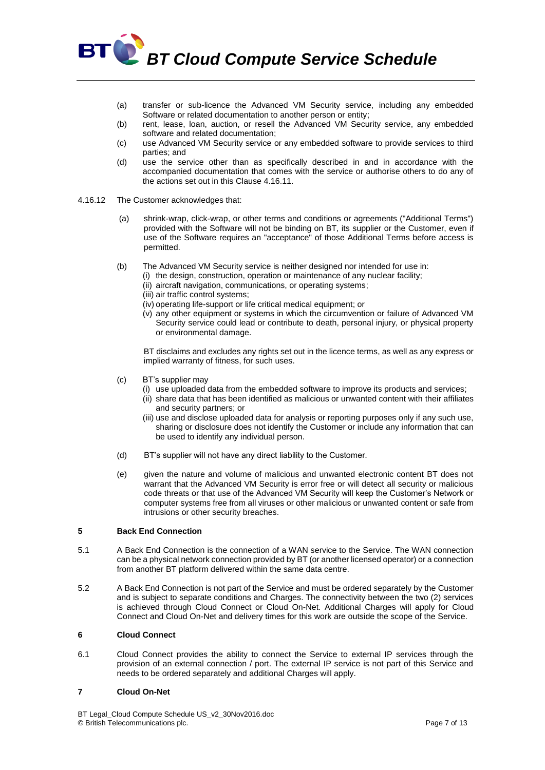- (a) transfer or sub-licence the Advanced VM Security service, including any embedded Software or related documentation to another person or entity;
- (b) rent, lease, loan, auction, or resell the Advanced VM Security service, any embedded software and related documentation;
- (c) use Advanced VM Security service or any embedded software to provide services to third parties; and
- (d) use the service other than as specifically described in and in accordance with the accompanied documentation that comes with the service or authorise others to do any of the actions set out in this Clause [4.16.11.](#page-5-2)
- 4.16.12 The Customer acknowledges that:
	- (a) shrink-wrap, click-wrap, or other terms and conditions or agreements ("Additional Terms") provided with the Software will not be binding on BT, its supplier or the Customer, even if use of the Software requires an "acceptance" of those Additional Terms before access is permitted.
	- (b) The Advanced VM Security service is neither designed nor intended for use in:
		- (i) the design, construction, operation or maintenance of any nuclear facility;
		- (ii) aircraft navigation, communications, or operating systems;
		- (iii) air traffic control systems;
		- (iv) operating life-support or life critical medical equipment; or
		- (v) any other equipment or systems in which the circumvention or failure of Advanced VM Security service could lead or contribute to death, personal injury, or physical property or environmental damage.

BT disclaims and excludes any rights set out in the licence terms, as well as any express or implied warranty of fitness, for such uses.

- (c) BT's supplier may
	- (i) use uploaded data from the embedded software to improve its products and services;
	- (ii) share data that has been identified as malicious or unwanted content with their affiliates and security partners; or
	- (iii) use and disclose uploaded data for analysis or reporting purposes only if any such use, sharing or disclosure does not identify the Customer or include any information that can be used to identify any individual person.
- (d) BT's supplier will not have any direct liability to the Customer.
- (e) given the nature and volume of malicious and unwanted electronic content BT does not warrant that the Advanced VM Security is error free or will detect all security or malicious code threats or that use of the Advanced VM Security will keep the Customer's Network or computer systems free from all viruses or other malicious or unwanted content or safe from intrusions or other security breaches.

## **5 Back End Connection**

- 5.1 A Back End Connection is the connection of a WAN service to the Service. The WAN connection can be a physical network connection provided by BT (or another licensed operator) or a connection from another BT platform delivered within the same data centre.
- 5.2 A Back End Connection is not part of the Service and must be ordered separately by the Customer and is subject to separate conditions and Charges. The connectivity between the two (2) services is achieved through Cloud Connect or Cloud On-Net. Additional Charges will apply for Cloud Connect and Cloud On-Net and delivery times for this work are outside the scope of the Service.

## <span id="page-6-0"></span>**6 Cloud Connect**

6.1 Cloud Connect provides the ability to connect the Service to external IP services through the provision of an external connection / port. The external IP service is not part of this Service and needs to be ordered separately and additional Charges will apply.

## **7 Cloud On-Net**

BT Legal\_Cloud Compute Schedule US\_v2\_30Nov2016.doc © British Telecommunications plc. Page 7 of 13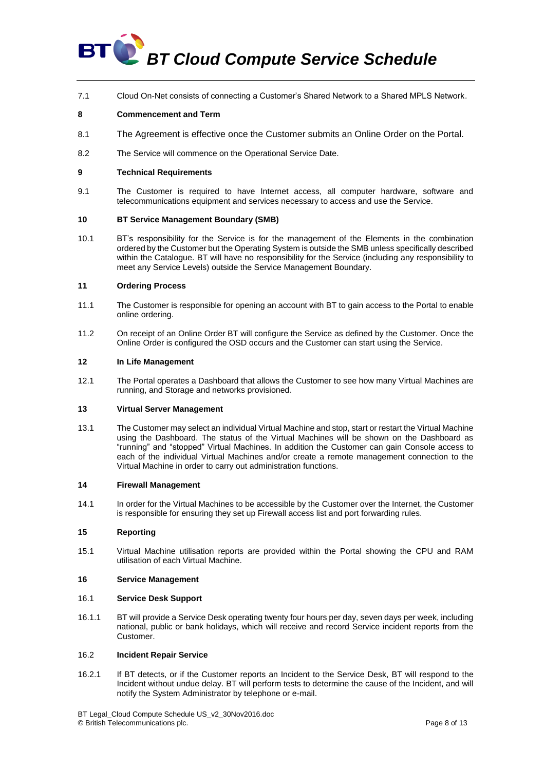7.1 Cloud On-Net consists of connecting a Customer's Shared Network to a Shared MPLS Network.

## **8 Commencement and Term**

- 8.1 The Agreement is effective once the Customer submits an Online Order on the Portal.
- 8.2 The Service will commence on the Operational Service Date.

## **9 Technical Requirements**

9.1 The Customer is required to have Internet access, all computer hardware, software and telecommunications equipment and services necessary to access and use the Service.

#### **10 BT Service Management Boundary (SMB)**

10.1 BT's responsibility for the Service is for the management of the Elements in the combination ordered by the Customer but the Operating System is outside the SMB unless specifically described within the Catalogue. BT will have no responsibility for the Service (including any responsibility to meet any Service Levels) outside the Service Management Boundary.

## **11 Ordering Process**

- 11.1 The Customer is responsible for opening an account with BT to gain access to the Portal to enable online ordering.
- 11.2 On receipt of an Online Order BT will configure the Service as defined by the Customer. Once the Online Order is configured the OSD occurs and the Customer can start using the Service.

#### **12 In Life Management**

12.1 The Portal operates a Dashboard that allows the Customer to see how many Virtual Machines are running, and Storage and networks provisioned.

## **13 Virtual Server Management**

13.1 The Customer may select an individual Virtual Machine and stop, start or restart the Virtual Machine using the Dashboard. The status of the Virtual Machines will be shown on the Dashboard as "running" and "stopped" Virtual Machines. In addition the Customer can gain Console access to each of the individual Virtual Machines and/or create a remote management connection to the Virtual Machine in order to carry out administration functions.

#### **14 Firewall Management**

14.1 In order for the Virtual Machines to be accessible by the Customer over the Internet, the Customer is responsible for ensuring they set up Firewall access list and port forwarding rules.

## **15 Reporting**

15.1 Virtual Machine utilisation reports are provided within the Portal showing the CPU and RAM utilisation of each Virtual Machine.

#### **16 Service Management**

#### 16.1 **Service Desk Support**

16.1.1 BT will provide a Service Desk operating twenty four hours per day, seven days per week, including national, public or bank holidays, which will receive and record Service incident reports from the Customer.

## <span id="page-7-0"></span>16.2 **Incident Repair Service**

16.2.1 If BT detects, or if the Customer reports an Incident to the Service Desk, BT will respond to the Incident without undue delay. BT will perform tests to determine the cause of the Incident, and will notify the System Administrator by telephone or e-mail.

BT Legal\_Cloud Compute Schedule US\_v2\_30Nov2016.doc © British Telecommunications plc. Page 8 of 13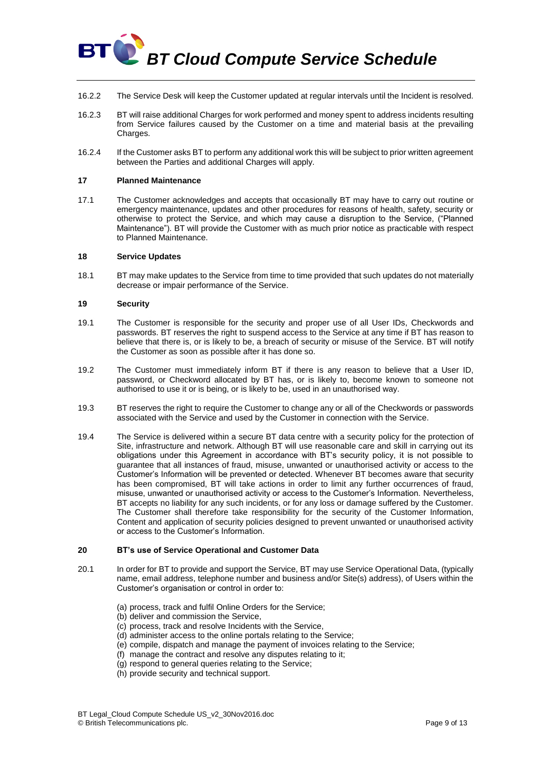

- 16.2.2 The Service Desk will keep the Customer updated at regular intervals until the Incident is resolved.
- 16.2.3 BT will raise additional Charges for work performed and money spent to address incidents resulting from Service failures caused by the Customer on a time and material basis at the prevailing Charges.
- 16.2.4 If the Customer asks BT to perform any additional work this will be subject to prior written agreement between the Parties and additional Charges will apply.

#### **17 Planned Maintenance**

17.1 The Customer acknowledges and accepts that occasionally BT may have to carry out routine or emergency maintenance, updates and other procedures for reasons of health, safety, security or otherwise to protect the Service, and which may cause a disruption to the Service, ("Planned Maintenance"). BT will provide the Customer with as much prior notice as practicable with respect to Planned Maintenance.

#### **18 Service Updates**

18.1 BT may make updates to the Service from time to time provided that such updates do not materially decrease or impair performance of the Service.

#### **19 Security**

- 19.1 The Customer is responsible for the security and proper use of all User IDs, Checkwords and passwords. BT reserves the right to suspend access to the Service at any time if BT has reason to believe that there is, or is likely to be, a breach of security or misuse of the Service. BT will notify the Customer as soon as possible after it has done so.
- 19.2 The Customer must immediately inform BT if there is any reason to believe that a User ID, password, or Checkword allocated by BT has, or is likely to, become known to someone not authorised to use it or is being, or is likely to be, used in an unauthorised way.
- 19.3 BT reserves the right to require the Customer to change any or all of the Checkwords or passwords associated with the Service and used by the Customer in connection with the Service.
- 19.4 The Service is delivered within a secure BT data centre with a security policy for the protection of Site, infrastructure and network. Although BT will use reasonable care and skill in carrying out its obligations under this Agreement in accordance with BT's security policy, it is not possible to guarantee that all instances of fraud, misuse, unwanted or unauthorised activity or access to the Customer's Information will be prevented or detected. Whenever BT becomes aware that security has been compromised, BT will take actions in order to limit any further occurrences of fraud, misuse, unwanted or unauthorised activity or access to the Customer's Information. Nevertheless, BT accepts no liability for any such incidents, or for any loss or damage suffered by the Customer. The Customer shall therefore take responsibility for the security of the Customer Information, Content and application of security policies designed to prevent unwanted or unauthorised activity or access to the Customer's Information.

#### **20 BT's use of Service Operational and Customer Data**

- 20.1 In order for BT to provide and support the Service, BT may use Service Operational Data, (typically name, email address, telephone number and business and/or Site(s) address), of Users within the Customer's organisation or control in order to:
	- (a) process, track and fulfil Online Orders for the Service;
	- (b) deliver and commission the Service,
	- (c) process, track and resolve Incidents with the Service,
	- (d) administer access to the online portals relating to the Service;
	- (e) compile, dispatch and manage the payment of invoices relating to the Service;
	- (f) manage the contract and resolve any disputes relating to it;
	- (g) respond to general queries relating to the Service;
	- (h) provide security and technical support.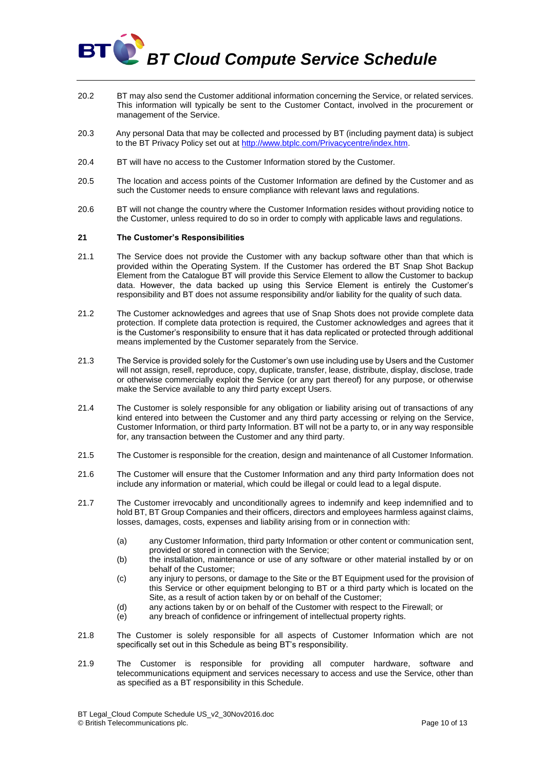

- 20.2 BT may also send the Customer additional information concerning the Service, or related services. This information will typically be sent to the Customer Contact, involved in the procurement or management of the Service.
- 20.3 Any personal Data that may be collected and processed by BT (including payment data) is subject to the BT Privacy Policy set out at [http://www.btplc.com/Privacycentre/index.htm.](http://www.btplc.com/Privacycentre/index.htm)
- 20.4 BT will have no access to the Customer Information stored by the Customer.
- 20.5 The location and access points of the Customer Information are defined by the Customer and as such the Customer needs to ensure compliance with relevant laws and regulations.
- 20.6 BT will not change the country where the Customer Information resides without providing notice to the Customer, unless required to do so in order to comply with applicable laws and regulations.

#### <span id="page-9-0"></span>**21 The Customer's Responsibilities**

- 21.1 The Service does not provide the Customer with any backup software other than that which is provided within the Operating System. If the Customer has ordered the BT Snap Shot Backup Element from the Catalogue BT will provide this Service Element to allow the Customer to backup data. However, the data backed up using this Service Element is entirely the Customer's responsibility and BT does not assume responsibility and/or liability for the quality of such data.
- 21.2 The Customer acknowledges and agrees that use of Snap Shots does not provide complete data protection. If complete data protection is required, the Customer acknowledges and agrees that it is the Customer's responsibility to ensure that it has data replicated or protected through additional means implemented by the Customer separately from the Service.
- 21.3 The Service is provided solely for the Customer's own use including use by Users and the Customer will not assign, resell, reproduce, copy, duplicate, transfer, lease, distribute, display, disclose, trade or otherwise commercially exploit the Service (or any part thereof) for any purpose, or otherwise make the Service available to any third party except Users.
- 21.4 The Customer is solely responsible for any obligation or liability arising out of transactions of any kind entered into between the Customer and any third party accessing or relying on the Service, Customer Information, or third party Information. BT will not be a party to, or in any way responsible for, any transaction between the Customer and any third party.
- 21.5 The Customer is responsible for the creation, design and maintenance of all Customer Information.
- 21.6 The Customer will ensure that the Customer Information and any third party Information does not include any information or material, which could be illegal or could lead to a legal dispute.
- 21.7 The Customer irrevocably and unconditionally agrees to indemnify and keep indemnified and to hold BT, BT Group Companies and their officers, directors and employees harmless against claims, losses, damages, costs, expenses and liability arising from or in connection with:
	- (a) any Customer Information, third party Information or other content or communication sent, provided or stored in connection with the Service;
	- (b) the installation, maintenance or use of any software or other material installed by or on behalf of the Customer;
	- (c) any injury to persons, or damage to the Site or the BT Equipment used for the provision of this Service or other equipment belonging to BT or a third party which is located on the Site, as a result of action taken by or on behalf of the Customer;
	- (d) any actions taken by or on behalf of the Customer with respect to the Firewall; or
	- (e) any breach of confidence or infringement of intellectual property rights.
- 21.8 The Customer is solely responsible for all aspects of Customer Information which are not specifically set out in this Schedule as being BT's responsibility.
- 21.9 The Customer is responsible for providing all computer hardware, software and telecommunications equipment and services necessary to access and use the Service, other than as specified as a BT responsibility in this Schedule.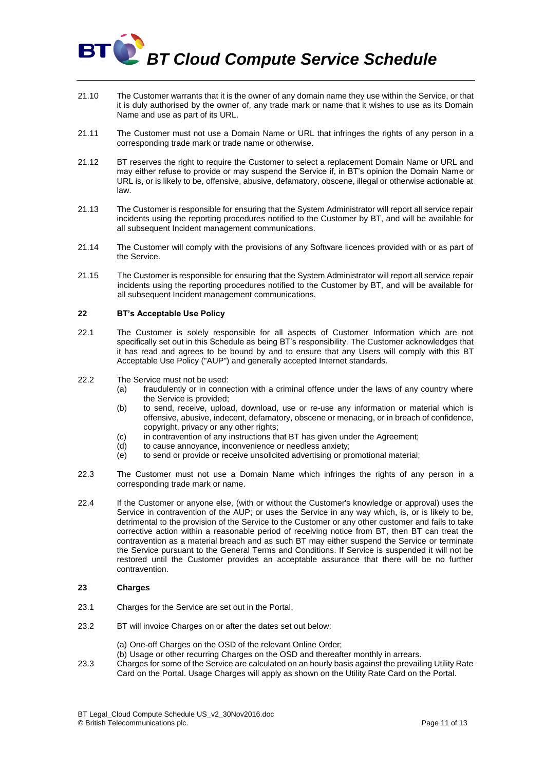

- 21.10 The Customer warrants that it is the owner of any domain name they use within the Service, or that it is duly authorised by the owner of, any trade mark or name that it wishes to use as its Domain Name and use as part of its URL.
- 21.11 The Customer must not use a Domain Name or URL that infringes the rights of any person in a corresponding trade mark or trade name or otherwise.
- 21.12 BT reserves the right to require the Customer to select a replacement Domain Name or URL and may either refuse to provide or may suspend the Service if, in BT's opinion the Domain Name or URL is, or is likely to be, offensive, abusive, defamatory, obscene, illegal or otherwise actionable at law.
- 21.13 The Customer is responsible for ensuring that the System Administrator will report all service repair incidents using the reporting procedures notified to the Customer by BT, and will be available for all subsequent Incident management communications.
- 21.14 The Customer will comply with the provisions of any Software licences provided with or as part of the Service.
- 21.15 The Customer is responsible for ensuring that the System Administrator will report all service repair incidents using the reporting procedures notified to the Customer by BT, and will be available for all subsequent Incident management communications.

#### **22 BT's Acceptable Use Policy**

- 22.1 The Customer is solely responsible for all aspects of Customer Information which are not specifically set out in this Schedule as being BT's responsibility. The Customer acknowledges that it has read and agrees to be bound by and to ensure that any Users will comply with this BT Acceptable Use Policy ("AUP") and generally accepted Internet standards.
- 22.2 The Service must not be used:
	- (a) fraudulently or in connection with a criminal offence under the laws of any country where the Service is provided;
	- (b) to send, receive, upload, download, use or re-use any information or material which is offensive, abusive, indecent, defamatory, obscene or menacing, or in breach of confidence, copyright, privacy or any other rights;
	- (c) in contravention of any instructions that BT has given under the Agreement;
	- (d) to cause annoyance, inconvenience or needless anxiety;
	- (e) to send or provide or receive unsolicited advertising or promotional material;
- 22.3 The Customer must not use a Domain Name which infringes the rights of any person in a corresponding trade mark or name.
- 22.4 If the Customer or anyone else, (with or without the Customer's knowledge or approval) uses the Service in contravention of the AUP; or uses the Service in any way which, is, or is likely to be, detrimental to the provision of the Service to the Customer or any other customer and fails to take corrective action within a reasonable period of receiving notice from BT, then BT can treat the contravention as a material breach and as such BT may either suspend the Service or terminate the Service pursuant to the General Terms and Conditions. If Service is suspended it will not be restored until the Customer provides an acceptable assurance that there will be no further contravention.

## **23 Charges**

- 23.1 Charges for the Service are set out in the Portal.
- 23.2 BT will invoice Charges on or after the dates set out below:
	- (a) One-off Charges on the OSD of the relevant Online Order;
	- (b) Usage or other recurring Charges on the OSD and thereafter monthly in arrears.
- 23.3 Charges for some of the Service are calculated on an hourly basis against the prevailing Utility Rate Card on the Portal. Usage Charges will apply as shown on the Utility Rate Card on the Portal.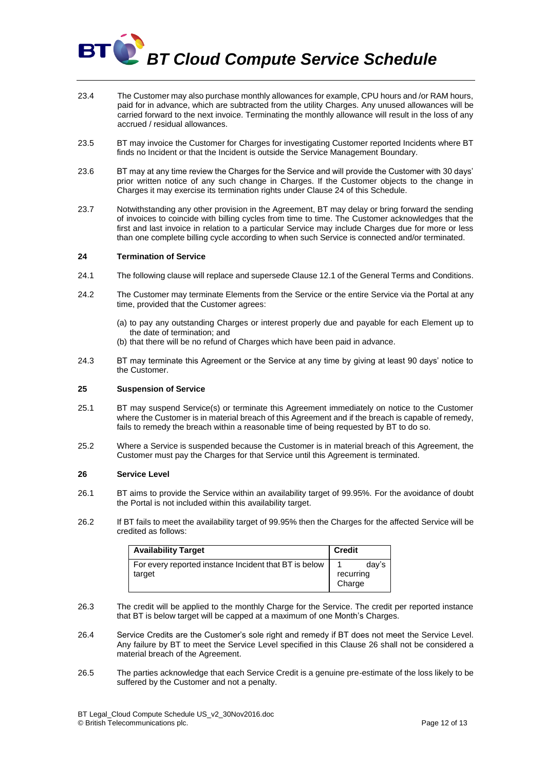- 23.4 The Customer may also purchase monthly allowances for example, CPU hours and /or RAM hours, paid for in advance, which are subtracted from the utility Charges. Any unused allowances will be carried forward to the next invoice. Terminating the monthly allowance will result in the loss of any accrued / residual allowances.
- 23.5 BT may invoice the Customer for Charges for investigating Customer reported Incidents where BT finds no Incident or that the Incident is outside the Service Management Boundary.
- 23.6 BT may at any time review the Charges for the Service and will provide the Customer with 30 days' prior written notice of any such change in Charges. If the Customer objects to the change in Charges it may exercise its termination rights under Claus[e 24](#page-11-1) of this Schedule.
- 23.7 Notwithstanding any other provision in the Agreement, BT may delay or bring forward the sending of invoices to coincide with billing cycles from time to time. The Customer acknowledges that the first and last invoice in relation to a particular Service may include Charges due for more or less than one complete billing cycle according to when such Service is connected and/or terminated.

#### <span id="page-11-1"></span>**24 Termination of Service**

**BT** 

- 24.1 The following clause will replace and supersede Clause 12.1 of the General Terms and Conditions.
- 24.2 The Customer may terminate Elements from the Service or the entire Service via the Portal at any time, provided that the Customer agrees:
	- (a) to pay any outstanding Charges or interest properly due and payable for each Element up to the date of termination; and
	- (b) that there will be no refund of Charges which have been paid in advance.
- 24.3 BT may terminate this Agreement or the Service at any time by giving at least 90 days' notice to the Customer.

#### <span id="page-11-2"></span>**25 Suspension of Service**

- 25.1 BT may suspend Service(s) or terminate this Agreement immediately on notice to the Customer where the Customer is in material breach of this Agreement and if the breach is capable of remedy, fails to remedy the breach within a reasonable time of being requested by BT to do so.
- 25.2 Where a Service is suspended because the Customer is in material breach of this Agreement, the Customer must pay the Charges for that Service until this Agreement is terminated.

#### <span id="page-11-0"></span>**26 Service Level**

- 26.1 BT aims to provide the Service within an availability target of 99.95%. For the avoidance of doubt the Portal is not included within this availability target.
- 26.2 If BT fails to meet the availability target of 99.95% then the Charges for the affected Service will be credited as follows:

| <b>Availability Target</b>                            | <b>Credit</b> |       |
|-------------------------------------------------------|---------------|-------|
| For every reported instance Incident that BT is below |               | dav's |
| target                                                | recurring     |       |
|                                                       | Charge        |       |

- 26.3 The credit will be applied to the monthly Charge for the Service. The credit per reported instance that BT is below target will be capped at a maximum of one Month's Charges.
- 26.4 Service Credits are the Customer's sole right and remedy if BT does not meet the Service Level. Any failure by BT to meet the Service Level specified in this Clause [26](#page-11-0) shall not be considered a material breach of the Agreement.
- 26.5 The parties acknowledge that each Service Credit is a genuine pre-estimate of the loss likely to be suffered by the Customer and not a penalty.